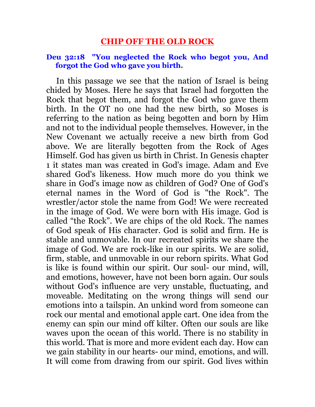# **CHIP OFF THE OLD ROCK**

#### **Deu 32:18 "You neglected the Rock who begot you, And forgot the God who gave you birth.**

 In this passage we see that the nation of Israel is being chided by Moses. Here he says that Israel had forgotten the Rock that begot them, and forgot the God who gave them birth. In the OT no one had the new birth, so Moses is referring to the nation as being begotten and born by Him and not to the individual people themselves. However, in the New Covenant we actually receive a new birth from God above. We are literally begotten from the Rock of Ages Himself. God has given us birth in Christ. In Genesis chapter 1 it states man was created in God's image. Adam and Eve shared God's likeness. How much more do you think we share in God's image now as children of God? One of God's eternal names in the Word of God is "the Rock". The wrestler/actor stole the name from God! We were recreated in the image of God. We were born with His image. God is called "the Rock". We are chips of the old Rock. The names of God speak of His character. God is solid and firm. He is stable and unmovable. In our recreated spirits we share the image of God. We are rock-like in our spirits. We are solid, firm, stable, and unmovable in our reborn spirits. What God is like is found within our spirit. Our soul- our mind, will, and emotions, however, have not been born again. Our souls without God's influence are very unstable, fluctuating, and moveable. Meditating on the wrong things will send our emotions into a tailspin. An unkind word from someone can rock our mental and emotional apple cart. One idea from the enemy can spin our mind off kilter. Often our souls are like waves upon the ocean of this world. There is no stability in this world. That is more and more evident each day. How can we gain stability in our hearts- our mind, emotions, and will. It will come from drawing from our spirit. God lives within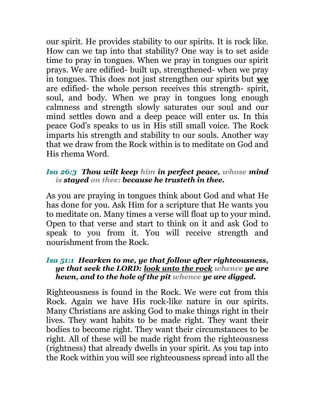our spirit. He provides stability to our spirits. It is rock like. How can we tap into that stability? One way is to set aside time to pray in tongues. When we pray in tongues our spirit prays. We are edified- built up, strengthened- when we pray in tongues. This does not just strengthen our spirits but **we** are edified- the whole person receives this strength- spirit, soul, and body. When we pray in tongues long enough calmness and strength slowly saturates our soul and our mind settles down and a deep peace will enter us. In this peace God's speaks to us in His still small voice. The Rock imparts his strength and stability to our souls. Another way that we draw from the Rock within is to meditate on God and His rhema Word.

## *Isa 26:3 Thou wilt keep him in perfect peace, whose mind is stayed on thee: because he trusteth in thee.*

As you are praying in tongues think about God and what He has done for you. Ask Him for a scripture that He wants you to meditate on. Many times a verse will float up to your mind. Open to that verse and start to think on it and ask God to speak to you from it. You will receive strength and nourishment from the Rock.

#### *Isa 51:1 Hearken to me, ye that follow after righteousness, ye that seek the LORD: look unto the rock whence ye are hewn, and to the hole of the pit whence ye are digged.*

Righteousness is found in the Rock. We were cut from this Rock. Again we have His rock-like nature in our spirits. Many Christians are asking God to make things right in their lives. They want habits to be made right. They want their bodies to become right. They want their circumstances to be right. All of these will be made right from the righteousness (rightness) that already dwells in your spirit. As you tap into the Rock within you will see righteousness spread into all the